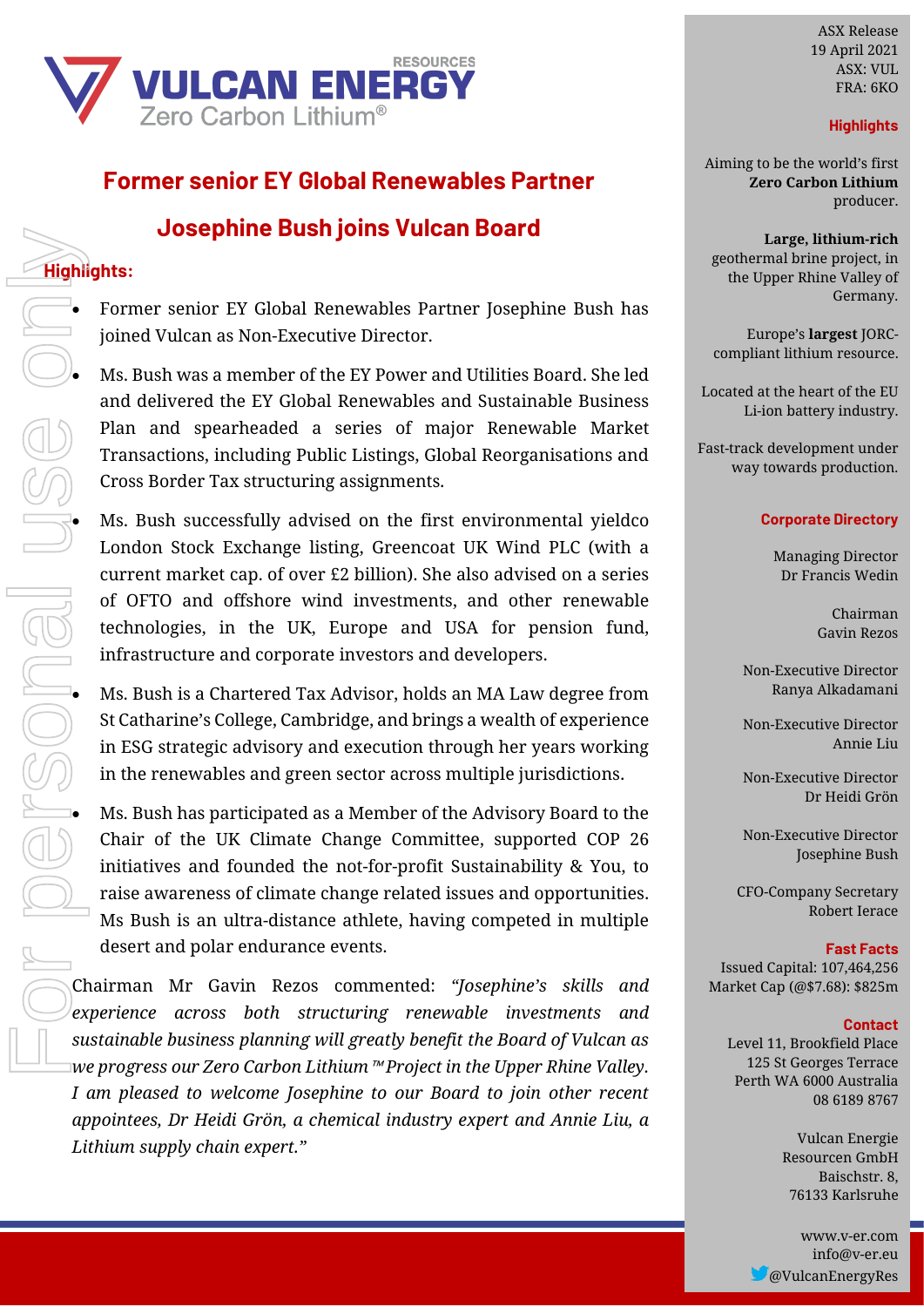

# **Former senior EY Global Renewables Partner**

## **Josephine Bush joins Vulcan Board**

### **Highlights:**

• Former senior EY Global Renewables Partner Josephine Bush has joined Vulcan as Non-Executive Director.

• Ms. Bush was a member of the EY Power and Utilities Board. She led and delivered the EY Global Renewables and Sustainable Business Plan and spearheaded a series of major Renewable Market Transactions, including Public Listings, Global Reorganisations and Cross Border Tax structuring assignments.

Ms. Bush successfully advised on the first environmental yieldco London Stock Exchange listing, Greencoat UK Wind PLC (with a current market cap. of over £2 billion). She also advised on a series of OFTO and offshore wind investments, and other renewable technologies, in the UK, Europe and USA for pension fund, infrastructure and corporate investors and developers.

• Ms. Bush is a Chartered Tax Advisor, holds an MA Law degree from St Catharine's College, Cambridge, and brings a wealth of experience in ESG strategic advisory and execution through her years working in the renewables and green sector across multiple jurisdictions.

• Ms. Bush has participated as a Member of the Advisory Board to the Chair of the UK Climate Change Committee, supported COP 26 initiatives and founded the not-for-profit Sustainability & You, to raise awareness of climate change related issues and opportunities. Ms Bush is an ultra-distance athlete, having competed in multiple desert and polar endurance events.

Chairman Mr Gavin Rezos commented: *"Josephine's skills and experience across both structuring renewable investments and sustainable business planning will greatly benefit the Board of Vulcan as we progress our Zero Carbon Lithium*™ *Project in the Upper Rhine Valley. I am pleased to welcome Josephine to our Board to join other recent appointees, Dr Heidi Grön, a chemical industry expert and Annie Liu, a Lithium supply chain expert."*

ASX Release 12 November 2020 19 April 2021ASX: VUL FRA: 6KO

### **Highlights**

Aiming to be the world's first **Zero Carbon Lithium***®* **Zero Carbon Lithium** producer.

**Large, lithium-rich** geothermal brine project, in the Upper Rhine Valley of Germany.

Europe's **largest** JORCcompliant lithium resource.

Located at the heart of the EU Li-ion battery industry.

Fast-track development under project under way towards Fast-track development under way towards production.

#### **Corporate Directory**

Dr Francis Wedin<br>Chairman Managing Director

Gavin Rezos

Ranya Alkadamani Non-Executive Director Ranya Alkadamani<br>Non-Executive Director

Non-Executive Director Annie Liu

Non-Executive Director CFO-Company Secretary Dr Heidi Grön

Non-Executive Director Josephine Bush

**Fast Facts** CFO-Company Secretary Market Cap (@1.66c): \$122m Robert Ierace

**Contact Fast Facts** Issued Capital: 107,464,256 Market Cap (@\$7.68): \$825m

#### Perth WA 6000 Australia **Contact**

<mark>Contact</mark><br>Level 11, Brookfield Place Vulcan Energie Perth WA 6000 Australia ra voor australia 08 6189 8767 125 St Georges Terrace

> 76133 Karlsruhe Vulcan Energie www.essarcenter.com 76133 Karlsruhe Resourcen GmbH

www.v-er.com info@v-er.eu @VulcanEnergyRes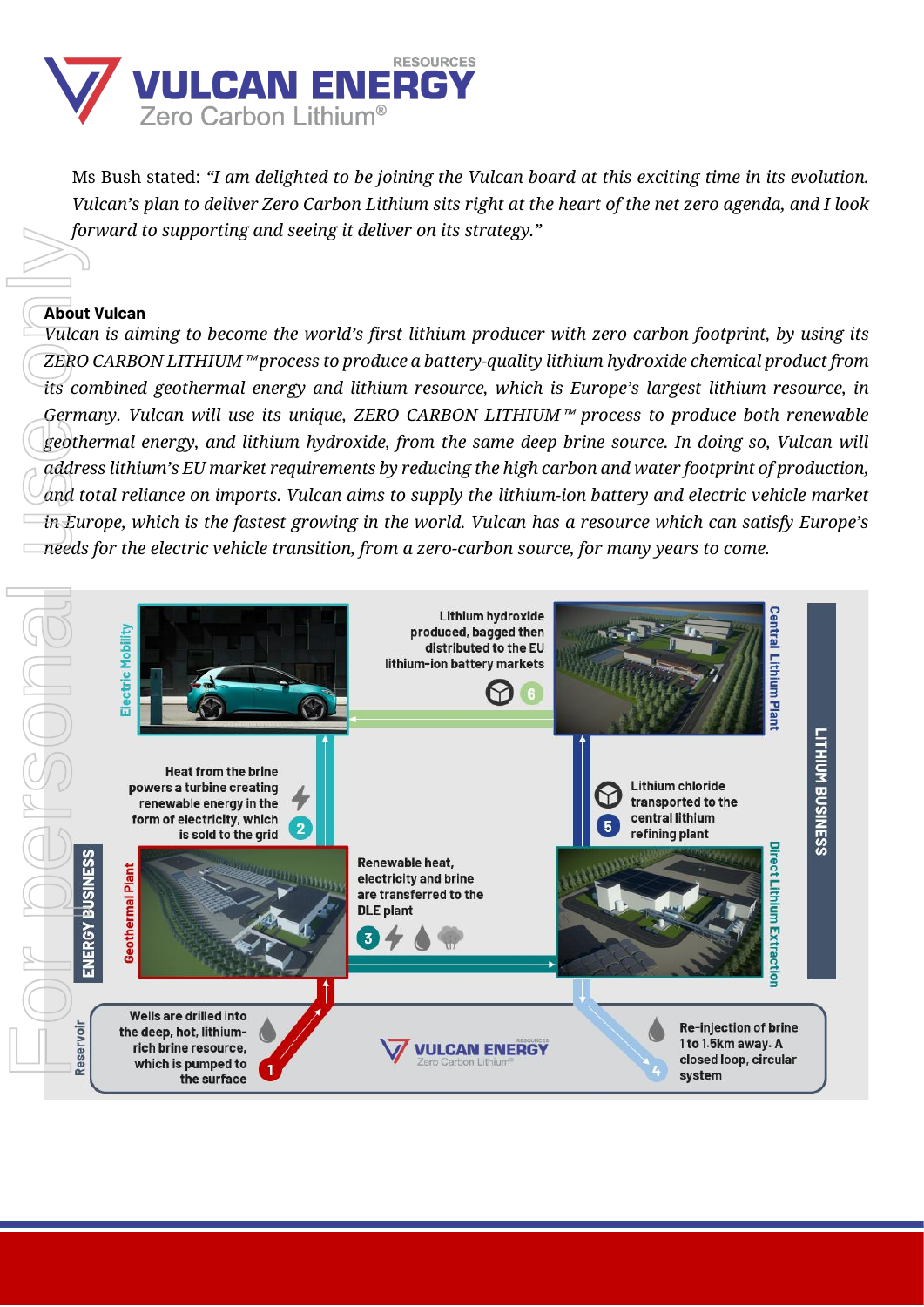

Ms Bush stated: *"I am delighted to be joining the Vulcan board at this exciting time in its evolution. Vulcan's plan to deliver Zero Carbon Lithium sits right at the heart of the net zero agenda, and I look forward to supporting and seeing it deliver on its strategy."*

#### **About Vulcan**

*Vulcan is aiming to become the world's first lithium producer with zero carbon footprint, by using its ZERO CARBON LITHIUM*™ *process to produce a battery-quality lithium hydroxide chemical product from its combined geothermal energy and lithium resource, which is Europe's largest lithium resource, in Germany. Vulcan will use its unique, ZERO CARBON LITHIUM*™ *process to produce both renewable geothermal energy, and lithium hydroxide, from the same deep brine source. In doing so, Vulcan will address lithium's EU market requirements by reducing the high carbon and water footprint of production, and total reliance on imports. Vulcan aims to supply the lithium-ion battery and electric vehicle market in Europe, which is the fastest growing in the world. Vulcan has a resource which can satisfy Europe's* 

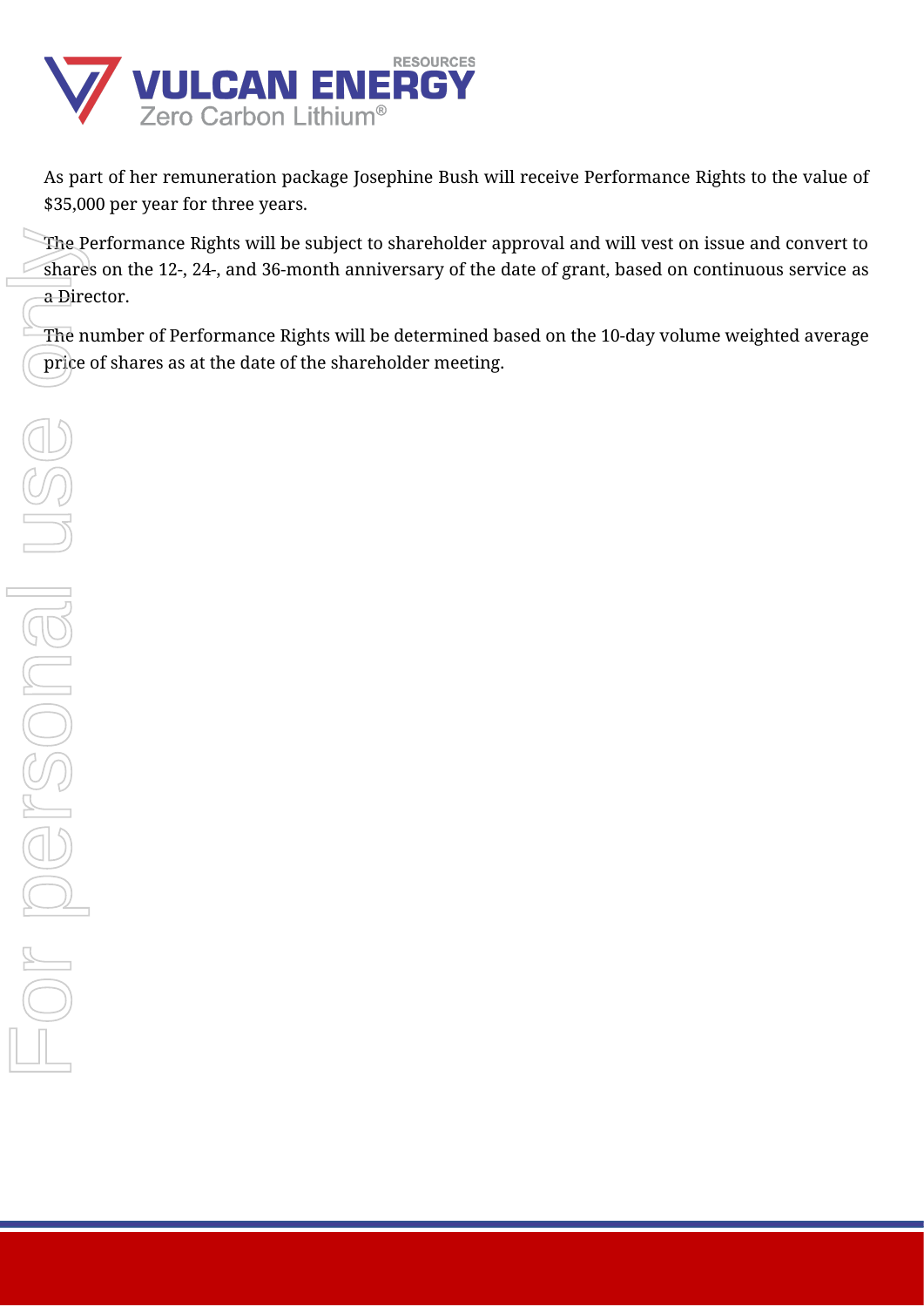

As part of her remuneration package Josephine Bush will receive Performance Rights to the value of \$35,000 per year for three years.

The Performance Rights will be subject to shareholder approval and will vest on issue and convert to shares on the 12-, 24-, and 36-month anniversary of the date of grant, based on continuous service as a Director.

The number of Performance Rights will be determined based on the 10-day volume weighted average